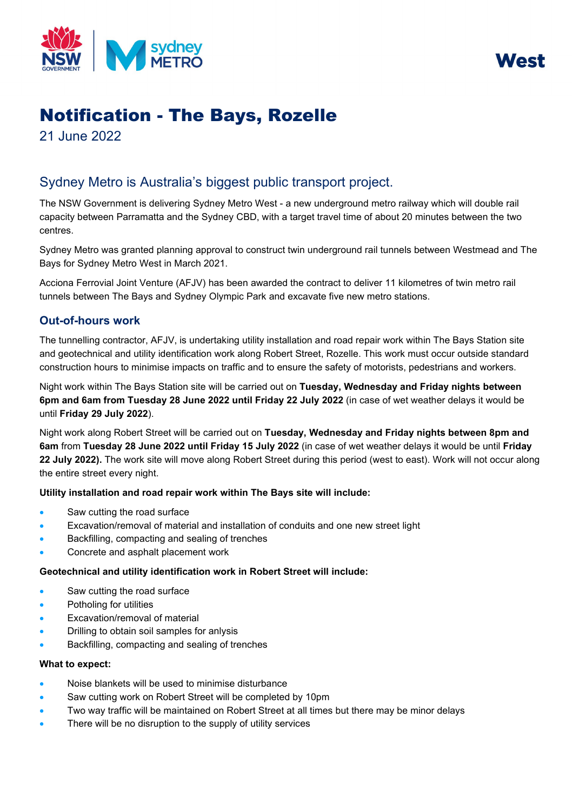



# Notification - The Bays, Rozelle

21 June 2022

# Sydney Metro is Australia's biggest public transport project.

The NSW Government is delivering Sydney Metro West - a new underground metro railway which will double rail capacity between Parramatta and the Sydney CBD, with a target travel time of about 20 minutes between the two centres.

Sydney Metro was granted planning approval to construct twin underground rail tunnels between Westmead and The Bays for Sydney Metro West in March 2021.

Acciona Ferrovial Joint Venture (AFJV) has been awarded the contract to deliver 11 kilometres of twin metro rail tunnels between The Bays and Sydney Olympic Park and excavate five new metro stations.

# **Out-of-hours work**

The tunnelling contractor, AFJV, is undertaking utility installation and road repair work within The Bays Station site and geotechnical and utility identification work along Robert Street, Rozelle. This work must occur outside standard construction hours to minimise impacts on traffic and to ensure the safety of motorists, pedestrians and workers.

Night work within The Bays Station site will be carried out on **Tuesday, Wednesday and Friday nights between 6pm and 6am from Tuesday 28 June 2022 until Friday 22 July 2022** (in case of wet weather delays it would be until **Friday 29 July 2022**).

Night work along Robert Street will be carried out on **Tuesday, Wednesday and Friday nights between 8pm and 6am** from **Tuesday 28 June 2022 until Friday 15 July 2022** (in case of wet weather delays it would be until **Friday 22 July 2022).** The work site will move along Robert Street during this period (west to east). Work will not occur along the entire street every night.

# **Utility installation and road repair work within The Bays site will include:**

- Saw cutting the road surface
- Excavation/removal of material and installation of conduits and one new street light
- Backfilling, compacting and sealing of trenches
- Concrete and asphalt placement work

# **Geotechnical and utility identification work in Robert Street will include:**

- Saw cutting the road surface
- Potholing for utilities
- Excavation/removal of material
- Drilling to obtain soil samples for anlysis
- Backfilling, compacting and sealing of trenches

#### **What to expect:**

- Noise blankets will be used to minimise disturbance
- Saw cutting work on Robert Street will be completed by 10pm
- Two way traffic will be maintained on Robert Street at all times but there may be minor delays
- There will be no disruption to the supply of utility services